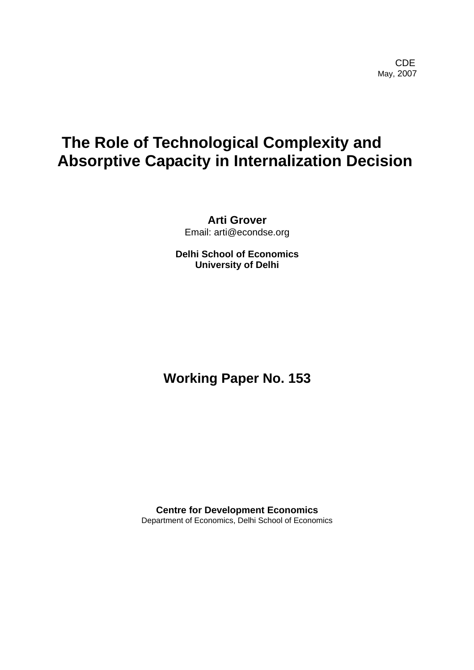**CDE COLLECTION** May, 2007

# **The Role of Technological Complexity and Absorptive Capacity in Internalization Decision**

**Arti Grover**  Email: arti@econdse.org

**Delhi School of Economics University of Delhi**

# **Working Paper No. 153**

**Centre for Development Economics**  Department of Economics, Delhi School of Economics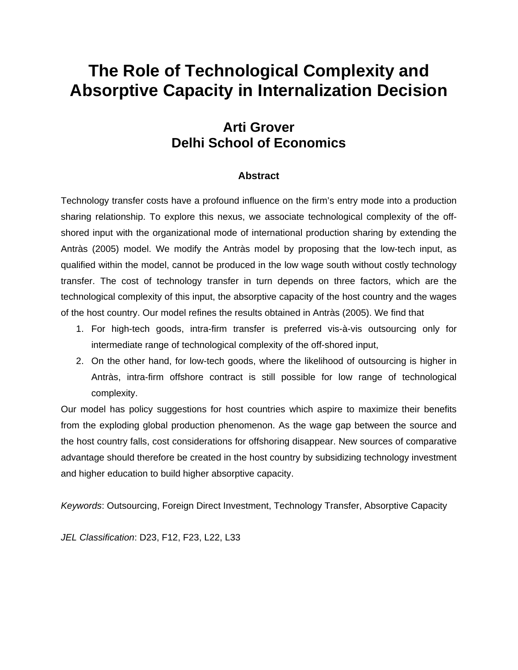# **The Role of Technological Complexity and Absorptive Capacity in Internalization Decision**

# **Arti Grover Delhi School of Economics**

# **Abstract**

Technology transfer costs have a profound influence on the firm's entry mode into a production sharing relationship. To explore this nexus, we associate technological complexity of the offshored input with the organizational mode of international production sharing by extending the Antràs (2005) model. We modify the Antràs model by proposing that the low-tech input, as qualified within the model, cannot be produced in the low wage south without costly technology transfer. The cost of technology transfer in turn depends on three factors, which are the technological complexity of this input, the absorptive capacity of the host country and the wages of the host country. Our model refines the results obtained in Antràs (2005). We find that

- 1. For high-tech goods, intra-firm transfer is preferred vis-à-vis outsourcing only for intermediate range of technological complexity of the off-shored input,
- 2. On the other hand, for low-tech goods, where the likelihood of outsourcing is higher in Antràs, intra-firm offshore contract is still possible for low range of technological complexity.

Our model has policy suggestions for host countries which aspire to maximize their benefits from the exploding global production phenomenon. As the wage gap between the source and the host country falls, cost considerations for offshoring disappear. New sources of comparative advantage should therefore be created in the host country by subsidizing technology investment and higher education to build higher absorptive capacity.

*Keywords*: Outsourcing, Foreign Direct Investment, Technology Transfer, Absorptive Capacity

*JEL Classification*: D23, F12, F23, L22, L33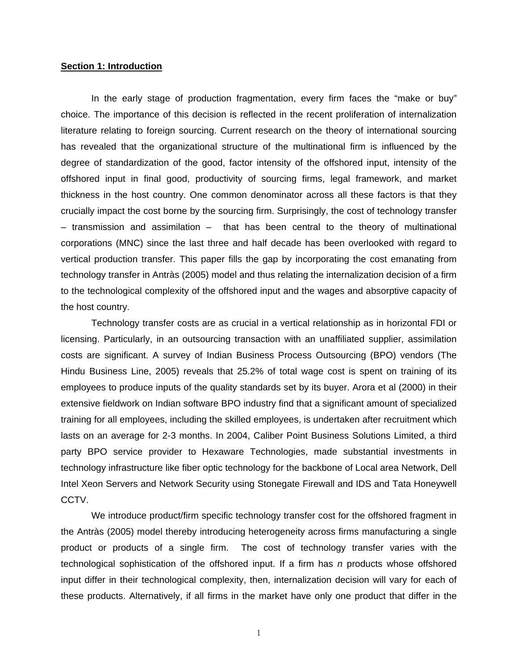### **Section 1: Introduction**

In the early stage of production fragmentation, every firm faces the "make or buy" choice. The importance of this decision is reflected in the recent proliferation of internalization literature relating to foreign sourcing. Current research on the theory of international sourcing has revealed that the organizational structure of the multinational firm is influenced by the degree of standardization of the good, factor intensity of the offshored input, intensity of the offshored input in final good, productivity of sourcing firms, legal framework, and market thickness in the host country. One common denominator across all these factors is that they crucially impact the cost borne by the sourcing firm. Surprisingly, the cost of technology transfer – transmission and assimilation – that has been central to the theory of multinational corporations (MNC) since the last three and half decade has been overlooked with regard to vertical production transfer. This paper fills the gap by incorporating the cost emanating from technology transfer in Antràs (2005) model and thus relating the internalization decision of a firm to the technological complexity of the offshored input and the wages and absorptive capacity of the host country.

Technology transfer costs are as crucial in a vertical relationship as in horizontal FDI or licensing. Particularly, in an outsourcing transaction with an unaffiliated supplier, assimilation costs are significant. A survey of Indian Business Process Outsourcing (BPO) vendors (The Hindu Business Line, 2005) reveals that 25.2% of total wage cost is spent on training of its employees to produce inputs of the quality standards set by its buyer. Arora et al (2000) in their extensive fieldwork on Indian software BPO industry find that a significant amount of specialized training for all employees, including the skilled employees, is undertaken after recruitment which lasts on an average for 2-3 months. In 2004, Caliber Point Business Solutions Limited, a third party BPO service provider to Hexaware Technologies, made substantial investments in technology infrastructure like fiber optic technology for the backbone of Local area Network, Dell Intel Xeon Servers and Network Security using Stonegate Firewall and IDS and Tata Honeywell CCTV.

We introduce product/firm specific technology transfer cost for the offshored fragment in the Antràs (2005) model thereby introducing heterogeneity across firms manufacturing a single product or products of a single firm. The cost of technology transfer varies with the technological sophistication of the offshored input. If a firm has *n* products whose offshored input differ in their technological complexity, then, internalization decision will vary for each of these products. Alternatively, if all firms in the market have only one product that differ in the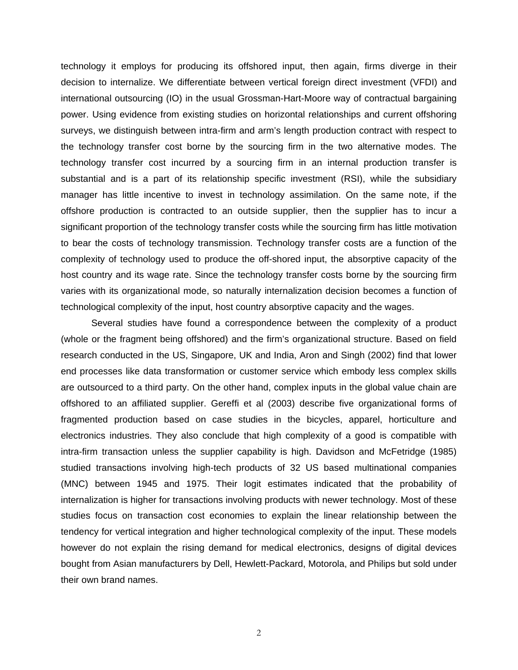technology it employs for producing its offshored input, then again, firms diverge in their decision to internalize. We differentiate between vertical foreign direct investment (VFDI) and international outsourcing (IO) in the usual Grossman-Hart-Moore way of contractual bargaining power. Using evidence from existing studies on horizontal relationships and current offshoring surveys, we distinguish between intra-firm and arm's length production contract with respect to the technology transfer cost borne by the sourcing firm in the two alternative modes. The technology transfer cost incurred by a sourcing firm in an internal production transfer is substantial and is a part of its relationship specific investment (RSI), while the subsidiary manager has little incentive to invest in technology assimilation. On the same note, if the offshore production is contracted to an outside supplier, then the supplier has to incur a significant proportion of the technology transfer costs while the sourcing firm has little motivation to bear the costs of technology transmission. Technology transfer costs are a function of the complexity of technology used to produce the off-shored input, the absorptive capacity of the host country and its wage rate. Since the technology transfer costs borne by the sourcing firm varies with its organizational mode, so naturally internalization decision becomes a function of technological complexity of the input, host country absorptive capacity and the wages.

Several studies have found a correspondence between the complexity of a product (whole or the fragment being offshored) and the firm's organizational structure. Based on field research conducted in the US, Singapore, UK and India, Aron and Singh (2002) find that lower end processes like data transformation or customer service which embody less complex skills are outsourced to a third party. On the other hand, complex inputs in the global value chain are offshored to an affiliated supplier. Gereffi et al (2003) describe five organizational forms of fragmented production based on case studies in the bicycles, apparel, horticulture and electronics industries. They also conclude that high complexity of a good is compatible with intra-firm transaction unless the supplier capability is high. Davidson and McFetridge (1985) studied transactions involving high-tech products of 32 US based multinational companies (MNC) between 1945 and 1975. Their logit estimates indicated that the probability of internalization is higher for transactions involving products with newer technology. Most of these studies focus on transaction cost economies to explain the linear relationship between the tendency for vertical integration and higher technological complexity of the input. These models however do not explain the rising demand for medical electronics, designs of digital devices bought from Asian manufacturers by Dell, Hewlett-Packard, Motorola, and Philips but sold under their own brand names.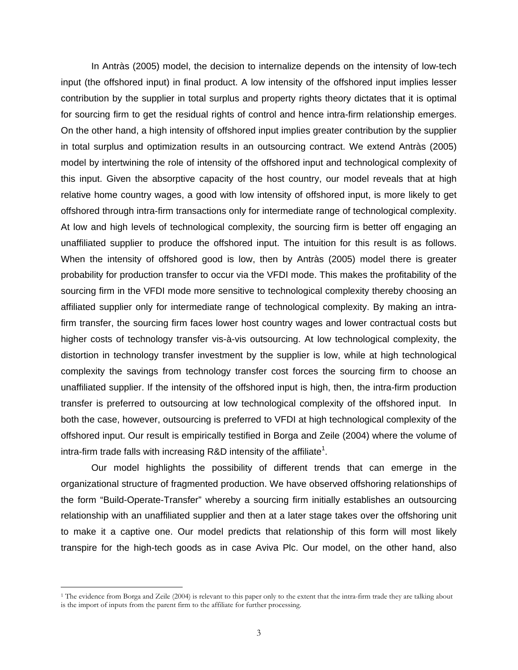In Antràs (2005) model, the decision to internalize depends on the intensity of low-tech input (the offshored input) in final product. A low intensity of the offshored input implies lesser contribution by the supplier in total surplus and property rights theory dictates that it is optimal for sourcing firm to get the residual rights of control and hence intra-firm relationship emerges. On the other hand, a high intensity of offshored input implies greater contribution by the supplier in total surplus and optimization results in an outsourcing contract. We extend Antràs (2005) model by intertwining the role of intensity of the offshored input and technological complexity of this input. Given the absorptive capacity of the host country, our model reveals that at high relative home country wages, a good with low intensity of offshored input, is more likely to get offshored through intra-firm transactions only for intermediate range of technological complexity. At low and high levels of technological complexity, the sourcing firm is better off engaging an unaffiliated supplier to produce the offshored input. The intuition for this result is as follows. When the intensity of offshored good is low, then by Antràs (2005) model there is greater probability for production transfer to occur via the VFDI mode. This makes the profitability of the sourcing firm in the VFDI mode more sensitive to technological complexity thereby choosing an affiliated supplier only for intermediate range of technological complexity. By making an intrafirm transfer, the sourcing firm faces lower host country wages and lower contractual costs but higher costs of technology transfer vis-à-vis outsourcing. At low technological complexity, the distortion in technology transfer investment by the supplier is low, while at high technological complexity the savings from technology transfer cost forces the sourcing firm to choose an unaffiliated supplier. If the intensity of the offshored input is high, then, the intra-firm production transfer is preferred to outsourcing at low technological complexity of the offshored input. In both the case, however, outsourcing is preferred to VFDI at high technological complexity of the offshored input. Our result is empirically testified in Borga and Zeile (2004) where the volume of intra-firm trade falls with increasing R&D intensity of the affiliate<sup>[1](#page-4-0)</sup>.

Our model highlights the possibility of different trends that can emerge in the organizational structure of fragmented production. We have observed offshoring relationships of the form "Build-Operate-Transfer" whereby a sourcing firm initially establishes an outsourcing relationship with an unaffiliated supplier and then at a later stage takes over the offshoring unit to make it a captive one. Our model predicts that relationship of this form will most likely transpire for the high-tech goods as in case Aviva Plc. Our model, on the other hand, also

<span id="page-4-0"></span><sup>&</sup>lt;sup>1</sup> The evidence from Borga and Zeile (2004) is relevant to this paper only to the extent that the intra-firm trade they are talking about is the import of inputs from the parent firm to the affiliate for further processing.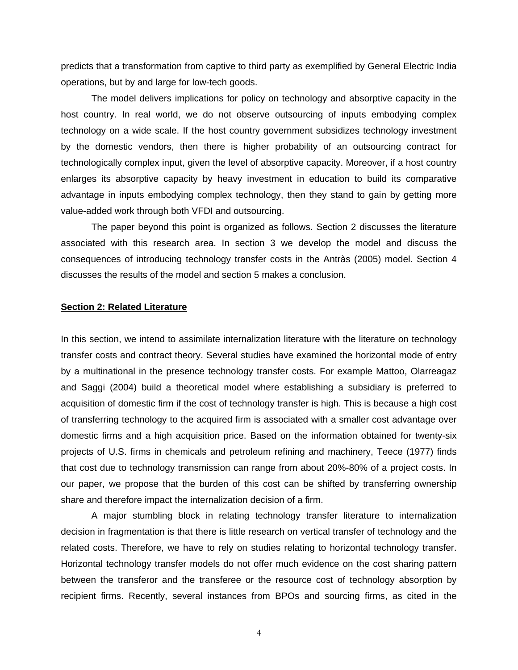predicts that a transformation from captive to third party as exemplified by General Electric India operations, but by and large for low-tech goods.

The model delivers implications for policy on technology and absorptive capacity in the host country. In real world, we do not observe outsourcing of inputs embodying complex technology on a wide scale. If the host country government subsidizes technology investment by the domestic vendors, then there is higher probability of an outsourcing contract for technologically complex input, given the level of absorptive capacity. Moreover, if a host country enlarges its absorptive capacity by heavy investment in education to build its comparative advantage in inputs embodying complex technology, then they stand to gain by getting more value-added work through both VFDI and outsourcing.

The paper beyond this point is organized as follows. Section 2 discusses the literature associated with this research area. In section 3 we develop the model and discuss the consequences of introducing technology transfer costs in the Antràs (2005) model. Section 4 discusses the results of the model and section 5 makes a conclusion.

# **Section 2: Related Literature**

In this section, we intend to assimilate internalization literature with the literature on technology transfer costs and contract theory. Several studies have examined the horizontal mode of entry by a multinational in the presence technology transfer costs. For example Mattoo, Olarreagaz and Saggi (2004) build a theoretical model where establishing a subsidiary is preferred to acquisition of domestic firm if the cost of technology transfer is high. This is because a high cost of transferring technology to the acquired firm is associated with a smaller cost advantage over domestic firms and a high acquisition price. Based on the information obtained for twenty-six projects of U.S. firms in chemicals and petroleum refining and machinery, Teece (1977) finds that cost due to technology transmission can range from about 20%-80% of a project costs. In our paper, we propose that the burden of this cost can be shifted by transferring ownership share and therefore impact the internalization decision of a firm.

A major stumbling block in relating technology transfer literature to internalization decision in fragmentation is that there is little research on vertical transfer of technology and the related costs. Therefore, we have to rely on studies relating to horizontal technology transfer. Horizontal technology transfer models do not offer much evidence on the cost sharing pattern between the transferor and the transferee or the resource cost of technology absorption by recipient firms. Recently, several instances from BPOs and sourcing firms, as cited in the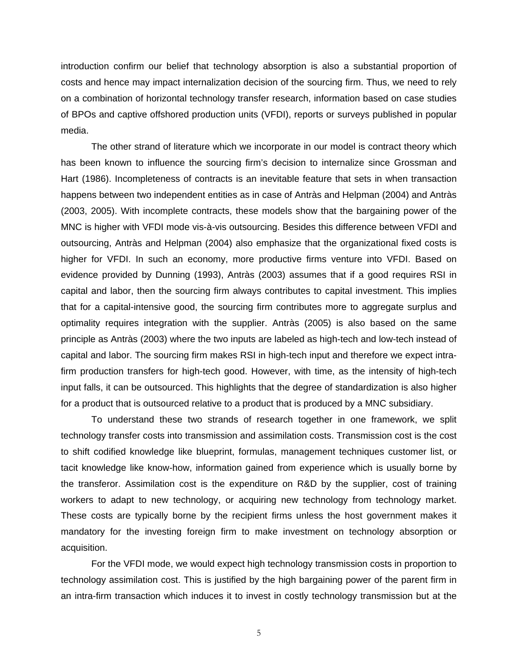introduction confirm our belief that technology absorption is also a substantial proportion of costs and hence may impact internalization decision of the sourcing firm. Thus, we need to rely on a combination of horizontal technology transfer research, information based on case studies of BPOs and captive offshored production units (VFDI), reports or surveys published in popular media.

The other strand of literature which we incorporate in our model is contract theory which has been known to influence the sourcing firm's decision to internalize since Grossman and Hart (1986). Incompleteness of contracts is an inevitable feature that sets in when transaction happens between two independent entities as in case of Antràs and Helpman (2004) and Antràs (2003, 2005). With incomplete contracts, these models show that the bargaining power of the MNC is higher with VFDI mode vis-à-vis outsourcing. Besides this difference between VFDI and outsourcing, Antràs and Helpman (2004) also emphasize that the organizational fixed costs is higher for VFDI. In such an economy, more productive firms venture into VFDI. Based on evidence provided by Dunning (1993), Antràs (2003) assumes that if a good requires RSI in capital and labor, then the sourcing firm always contributes to capital investment. This implies that for a capital-intensive good, the sourcing firm contributes more to aggregate surplus and optimality requires integration with the supplier. Antràs (2005) is also based on the same principle as Antràs (2003) where the two inputs are labeled as high-tech and low-tech instead of capital and labor. The sourcing firm makes RSI in high-tech input and therefore we expect intrafirm production transfers for high-tech good. However, with time, as the intensity of high-tech input falls, it can be outsourced. This highlights that the degree of standardization is also higher for a product that is outsourced relative to a product that is produced by a MNC subsidiary.

To understand these two strands of research together in one framework, we split technology transfer costs into transmission and assimilation costs. Transmission cost is the cost to shift codified knowledge like blueprint, formulas, management techniques customer list, or tacit knowledge like know-how, information gained from experience which is usually borne by the transferor. Assimilation cost is the expenditure on R&D by the supplier, cost of training workers to adapt to new technology, or acquiring new technology from technology market. These costs are typically borne by the recipient firms unless the host government makes it mandatory for the investing foreign firm to make investment on technology absorption or acquisition.

For the VFDI mode, we would expect high technology transmission costs in proportion to technology assimilation cost. This is justified by the high bargaining power of the parent firm in an intra-firm transaction which induces it to invest in costly technology transmission but at the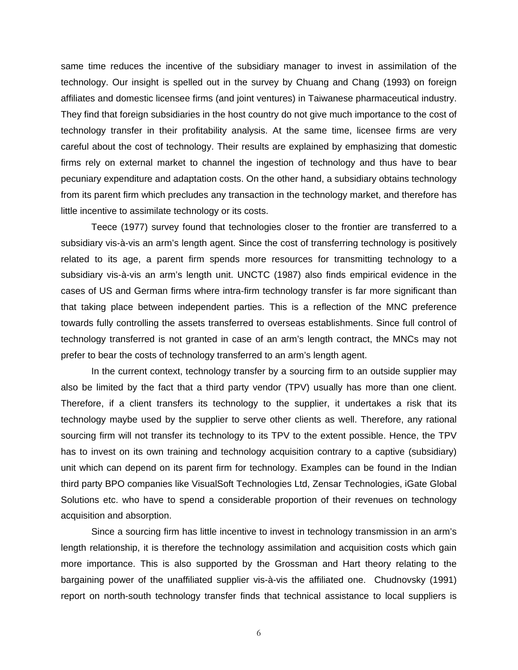same time reduces the incentive of the subsidiary manager to invest in assimilation of the technology. Our insight is spelled out in the survey by Chuang and Chang (1993) on foreign affiliates and domestic licensee firms (and joint ventures) in Taiwanese pharmaceutical industry. They find that foreign subsidiaries in the host country do not give much importance to the cost of technology transfer in their profitability analysis. At the same time, licensee firms are very careful about the cost of technology. Their results are explained by emphasizing that domestic firms rely on external market to channel the ingestion of technology and thus have to bear pecuniary expenditure and adaptation costs. On the other hand, a subsidiary obtains technology from its parent firm which precludes any transaction in the technology market, and therefore has little incentive to assimilate technology or its costs.

Teece (1977) survey found that technologies closer to the frontier are transferred to a subsidiary vis-à-vis an arm's length agent. Since the cost of transferring technology is positively related to its age, a parent firm spends more resources for transmitting technology to a subsidiary vis-à-vis an arm's length unit. UNCTC (1987) also finds empirical evidence in the cases of US and German firms where intra-firm technology transfer is far more significant than that taking place between independent parties. This is a reflection of the MNC preference towards fully controlling the assets transferred to overseas establishments. Since full control of technology transferred is not granted in case of an arm's length contract, the MNCs may not prefer to bear the costs of technology transferred to an arm's length agent.

In the current context, technology transfer by a sourcing firm to an outside supplier may also be limited by the fact that a third party vendor (TPV) usually has more than one client. Therefore, if a client transfers its technology to the supplier, it undertakes a risk that its technology maybe used by the supplier to serve other clients as well. Therefore, any rational sourcing firm will not transfer its technology to its TPV to the extent possible. Hence, the TPV has to invest on its own training and technology acquisition contrary to a captive (subsidiary) unit which can depend on its parent firm for technology. Examples can be found in the Indian third party BPO companies like VisualSoft Technologies Ltd, Zensar Technologies, iGate Global Solutions etc. who have to spend a considerable proportion of their revenues on technology acquisition and absorption.

Since a sourcing firm has little incentive to invest in technology transmission in an arm's length relationship, it is therefore the technology assimilation and acquisition costs which gain more importance. This is also supported by the Grossman and Hart theory relating to the bargaining power of the unaffiliated supplier vis-à-vis the affiliated one. Chudnovsky (1991) report on north-south technology transfer finds that technical assistance to local suppliers is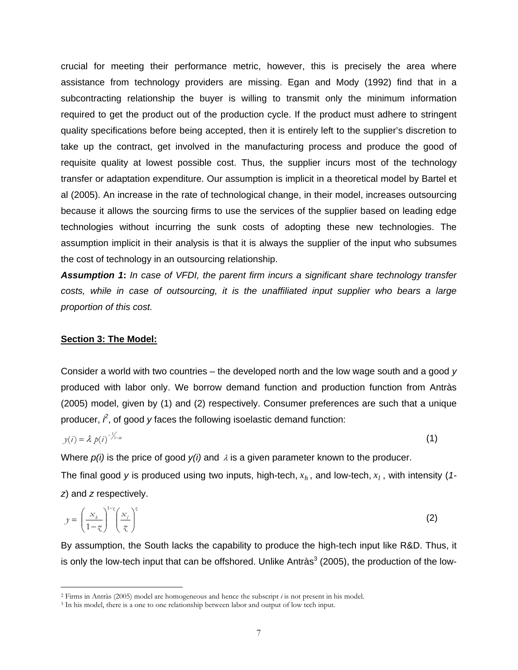crucial for meeting their performance metric, however, this is precisely the area where assistance from technology providers are missing. Egan and Mody (1992) find that in a subcontracting relationship the buyer is willing to transmit only the minimum information required to get the product out of the production cycle. If the product must adhere to stringent quality specifications before being accepted, then it is entirely left to the supplier's discretion to take up the contract, get involved in the manufacturing process and produce the good of requisite quality at lowest possible cost. Thus, the supplier incurs most of the technology transfer or adaptation expenditure. Our assumption is implicit in a theoretical model by Bartel et al (2005). An increase in the rate of technological change, in their model, increases outsourcing because it allows the sourcing firms to use the services of the supplier based on leading edge technologies without incurring the sunk costs of adopting these new technologies. The assumption implicit in their analysis is that it is always the supplier of the input who subsumes the cost of technology in an outsourcing relationship.

*Assumption 1***:** *In case of VFDI, the parent firm incurs a significant share technology transfer costs, while in case of outsourcing, it is the unaffiliated input supplier who bears a large proportion of this cost.* 

### **Section 3: The Model:**

 $\overline{a}$ 

Consider a world with two countries – the developed north and the low wage south and a good *y* produced with labor only. We borrow demand function and production function from Antràs (2005) model, given by (1) and (2) respectively. Consumer preferences are such that a unique producer,  $\hat{r}$ , of good  $y$  faces the following isoelastic demand function:

$$
y(i) = \lambda p(i)^{-\frac{1}{\lambda_{1-\alpha}}} \tag{1}
$$

Where  $p(i)$  is the price of good  $y(i)$  and  $\lambda$  is a given parameter known to the producer.

The final good y is produced using two inputs, high-tech,  $x_h$  , and low-tech,  $x_l$  , with intensity (1*z*) and *z* respectively.

$$
y = \left(\frac{x_b}{1 - z_c}\right)^{1 - z} \left(\frac{x_l}{z_c}\right)^{z_c}
$$
 (2)

By assumption, the South lacks the capability to produce the high-tech input like R&D. Thus, it is only the low-tech input that can be offshored. Unlike Antràs<sup>[3](#page-8-1)</sup> (2005), the production of the low-

<span id="page-8-0"></span><sup>2</sup> Firms in Antràs (2005) model are homogeneous and hence the subscript *i* is not present in his model.

<span id="page-8-1"></span><sup>&</sup>lt;sup>3</sup> In his model, there is a one to one relationship between labor and output of low tech input.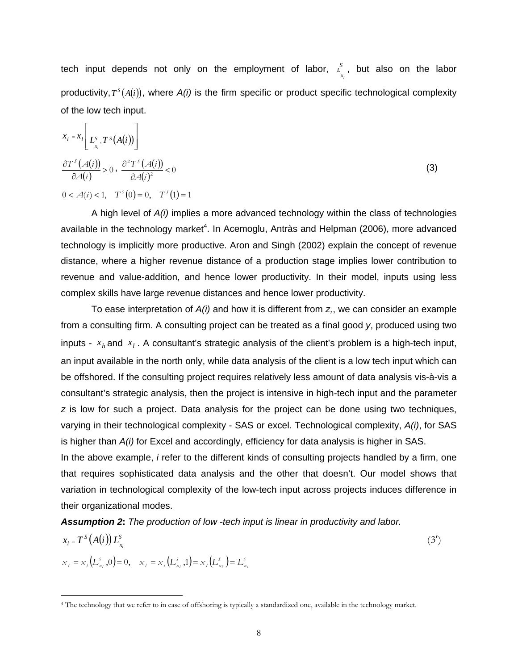tech input depends not only on the employment of labor,  $\chi^S$ , but also on the labor productivity,  $T^{s}(A(i))$ , where  $A(i)$  is the firm specific or product specific technological complexity of the low tech input. *x L l*

$$
x_{i} = x_{i} \left[ L_{x_{i}}^{S} T^{S}(A(i)) \right]
$$
  
\n
$$
\frac{\partial T^{S}(A(i))}{\partial A(i)} > 0, \frac{\partial^{2} T^{S}(A(i))}{\partial A(i)^{2}} < 0
$$
  
\n
$$
0 < A(i) < 1, \quad T^{S}(0) = 0, \quad T^{S}(1) = 1
$$
\n(3)

A high level of *A(i)* implies a more advanced technology within the class of technologies available in the technology market<sup>[4](#page-9-0)</sup>. In Acemoglu, Antràs and Helpman (2006), more advanced technology is implicitly more productive. Aron and Singh (2002) explain the concept of revenue distance, where a higher revenue distance of a production stage implies lower contribution to revenue and value-addition, and hence lower productivity. In their model, inputs using less complex skills have large revenue distances and hence lower productivity.

To ease interpretation of *A(i)* and how it is different from *z,*, we can consider an example from a consulting firm. A consulting project can be treated as a final good *y*, produced using two inputs -  $x_h$  and  $x_l$ . A consultant's strategic analysis of the client's problem is a high-tech input, an input available in the north only, while data analysis of the client is a low tech input which can be offshored. If the consulting project requires relatively less amount of data analysis vis-à-vis a consultant's strategic analysis, then the project is intensive in high-tech input and the parameter *z* is low for such a project. Data analysis for the project can be done using two techniques, varying in their technological complexity - SAS or excel. Technological complexity, *A(i)*, for SAS is higher than *A(i)* for Excel and accordingly, efficiency for data analysis is higher in SAS.

In the above example, *i* refer to the different kinds of consulting projects handled by a firm, one that requires sophisticated data analysis and the other that doesn't. Our model shows that variation in technological complexity of the low-tech input across projects induces difference in their organizational modes.

*Assumption 2***:** *The production of low -tech input is linear in productivity and labor.* 

$$
x_{l} = T^{S}(A(i)) L_{x_{l}}^{S}
$$
  
\n
$$
x_{l} = x_{l} (L_{x_{l}}^{S}, 0) = 0, \quad x_{l} = x_{l} (L_{x_{l}}^{S}, 1) = x_{l} (L_{x_{l}}^{S}) = L_{x_{l}}^{S}
$$
\n
$$
(3')
$$

<span id="page-9-0"></span><sup>4</sup> The technology that we refer to in case of offshoring is typically a standardized one, available in the technology market.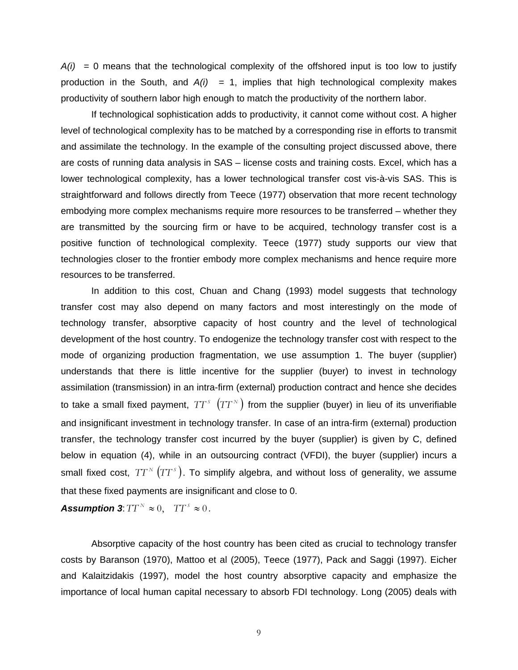$A(i)$  = 0 means that the technological complexity of the offshored input is too low to justify production in the South, and  $A(i) = 1$ , implies that high technological complexity makes productivity of southern labor high enough to match the productivity of the northern labor.

If technological sophistication adds to productivity, it cannot come without cost. A higher level of technological complexity has to be matched by a corresponding rise in efforts to transmit and assimilate the technology. In the example of the consulting project discussed above, there are costs of running data analysis in SAS – license costs and training costs. Excel, which has a lower technological complexity, has a lower technological transfer cost vis-à-vis SAS. This is straightforward and follows directly from Teece (1977) observation that more recent technology embodying more complex mechanisms require more resources to be transferred – whether they are transmitted by the sourcing firm or have to be acquired, technology transfer cost is a positive function of technological complexity. Teece (1977) study supports our view that technologies closer to the frontier embody more complex mechanisms and hence require more resources to be transferred.

In addition to this cost, Chuan and Chang (1993) model suggests that technology transfer cost may also depend on many factors and most interestingly on the mode of technology transfer, absorptive capacity of host country and the level of technological development of the host country. To endogenize the technology transfer cost with respect to the mode of organizing production fragmentation, we use assumption 1. The buyer (supplier) understands that there is little incentive for the supplier (buyer) to invest in technology assimilation (transmission) in an intra-firm (external) production contract and hence she decides to take a small fixed payment,  $TT^{s}(TT^{N})$  from the supplier (buyer) in lieu of its unverifiable and insignificant investment in technology transfer. In case of an intra-firm (external) production transfer, the technology transfer cost incurred by the buyer (supplier) is given by C, defined below in equation (4), while in an outsourcing contract (VFDI), the buyer (supplier) incurs a small fixed cost,  $TT^N(TT^s)$ . To simplify algebra, and without loss of generality, we assume that these fixed payments are insignificant and close to 0.

*Assumption 3:*  $TT^N \approx 0$ ,  $TT^S \approx 0$ .

Absorptive capacity of the host country has been cited as crucial to technology transfer costs by Baranson (1970), Mattoo et al (2005), Teece (1977), Pack and Saggi (1997). Eicher and Kalaitzidakis (1997), model the host country absorptive capacity and emphasize the importance of local human capital necessary to absorb FDI technology. Long (2005) deals with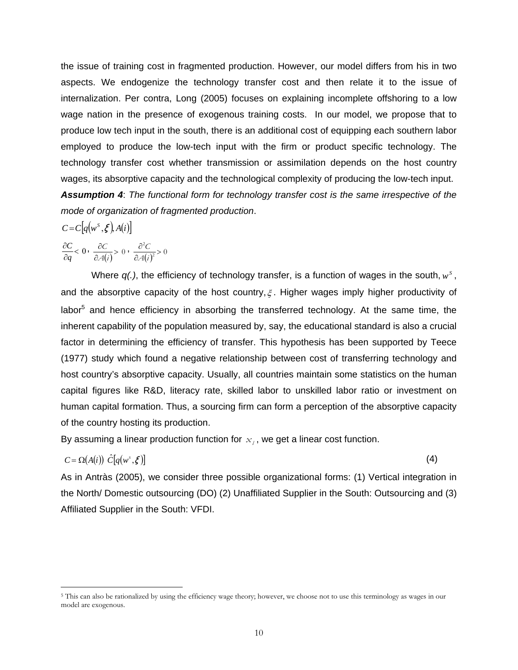the issue of training cost in fragmented production. However, our model differs from his in two aspects. We endogenize the technology transfer cost and then relate it to the issue of internalization. Per contra, Long (2005) focuses on explaining incomplete offshoring to a low wage nation in the presence of exogenous training costs. In our model, we propose that to produce low tech input in the south, there is an additional cost of equipping each southern labor employed to produce the low-tech input with the firm or product specific technology. The technology transfer cost whether transmission or assimilation depends on the host country wages, its absorptive capacity and the technological complexity of producing the low-tech input. *Assumption 4*: *The functional form for technology transfer cost is the same irrespective of the mode of organization of fragmented production*.

$$
C = C\big[q(w^S, \xi), A(i)\big]
$$

$$
\partial C \bigg|_{\partial C} \partial C \bigg|_{\partial C} \partial C \bigg|_{\partial C} \partial^2 C
$$

 $rac{\partial C}{\partial q}<0$ *q*  $\frac{C}{\partial q}$  < 0,  $\frac{\partial C}{\partial A(i)}$  > 0 *A i*  $\frac{C}{4(i)} > 0$ ,  $\frac{\partial^2 C}{\partial A(i)^2} > 0$ *A i*

Where  $q(.)$ , the efficiency of technology transfer, is a function of wages in the south,  $w^s$ , and the absorptive capacity of the host country,  $\xi$ . Higher wages imply higher productivity of labor<sup>[5](#page-11-0)</sup> and hence efficiency in absorbing the transferred technology. At the same time, the inherent capability of the population measured by, say, the educational standard is also a crucial factor in determining the efficiency of transfer. This hypothesis has been supported by Teece (1977) study which found a negative relationship between cost of transferring technology and host country's absorptive capacity. Usually, all countries maintain some statistics on the human capital figures like R&D, literacy rate, skilled labor to unskilled labor ratio or investment on human capital formation. Thus, a sourcing firm can form a perception of the absorptive capacity of the country hosting its production.

By assuming a linear production function for  $x_i$ , we get a linear cost function.

$$
C = \Omega(A(i)) \hat{C}[q(w^s, \xi)] \tag{4}
$$

 $\overline{a}$ 

As in Antràs (2005), we consider three possible organizational forms: (1) Vertical integration in the North/ Domestic outsourcing (DO) (2) Unaffiliated Supplier in the South: Outsourcing and (3) Affiliated Supplier in the South: VFDI.

<span id="page-11-0"></span><sup>&</sup>lt;sup>5</sup> This can also be rationalized by using the efficiency wage theory; however, we choose not to use this terminology as wages in our model are exogenous.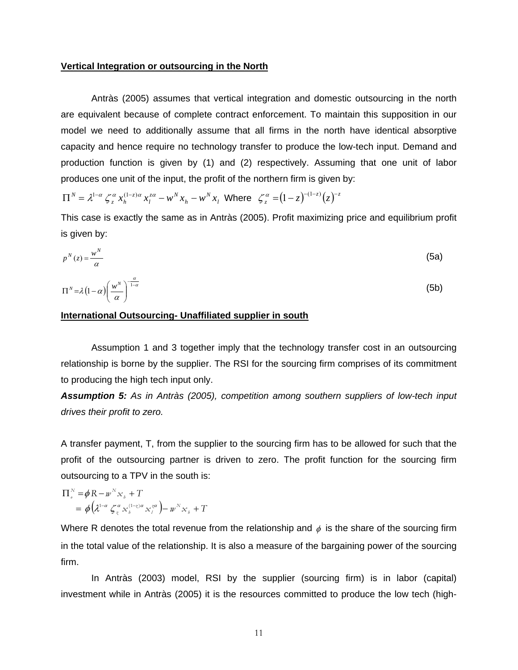#### **Vertical Integration or outsourcing in the North**

Antràs (2005) assumes that vertical integration and domestic outsourcing in the north are equivalent because of complete contract enforcement. To maintain this supposition in our model we need to additionally assume that all firms in the north have identical absorptive capacity and hence require no technology transfer to produce the low-tech input. Demand and production function is given by (1) and (2) respectively. Assuming that one unit of labor produces one unit of the input, the profit of the northern firm is given by:

*l N h*  $z\alpha$  ...<sup>N</sup> *l z*  $\Pi^N = \lambda^{1-\alpha} \zeta_z^{\alpha} x_h^{(1-z)\alpha} x_l^{z\alpha} - w^N x_h - w^N x_l$  Where  $\zeta_z^{\alpha} = (1-z)^{-(1-z)} (z)^{-z}$ 

This case is exactly the same as in Antràs (2005). Profit maximizing price and equilibrium profit is given by:

$$
p^N(z) = \frac{w^N}{\alpha} \tag{5a}
$$

$$
\Pi^N = \lambda \left(1 - \alpha \right) \left(\frac{w^N}{\alpha}\right)^{\frac{\alpha}{1 - \alpha}}
$$
 (5b)

#### **International Outsourcing- Unaffiliated supplier in south**

Assumption 1 and 3 together imply that the technology transfer cost in an outsourcing relationship is borne by the supplier. The RSI for the sourcing firm comprises of its commitment to producing the high tech input only.

*Assumption 5: As in Antràs (2005), competition among southern suppliers of low-tech input drives their profit to zero.*

A transfer payment, T, from the supplier to the sourcing firm has to be allowed for such that the profit of the outsourcing partner is driven to zero. The profit function for the sourcing firm outsourcing to a TPV in the south is:

$$
\Pi_{\rho}^{N} = \phi \, \mathbf{R} - w^{N} \mathbf{x}_{b} + T
$$
\n
$$
= \phi \left( \lambda^{1-\alpha} \, \zeta_{\zeta}^{\alpha} \mathbf{x}_{b}^{(1-\zeta)\alpha} \mathbf{x}_{l}^{\zeta\alpha} \right) - w^{N} \mathbf{x}_{b} + T
$$

Where R denotes the total revenue from the relationship and  $\phi$  is the share of the sourcing firm in the total value of the relationship. It is also a measure of the bargaining power of the sourcing firm.

In Antràs (2003) model, RSI by the supplier (sourcing firm) is in labor (capital) investment while in Antràs (2005) it is the resources committed to produce the low tech (high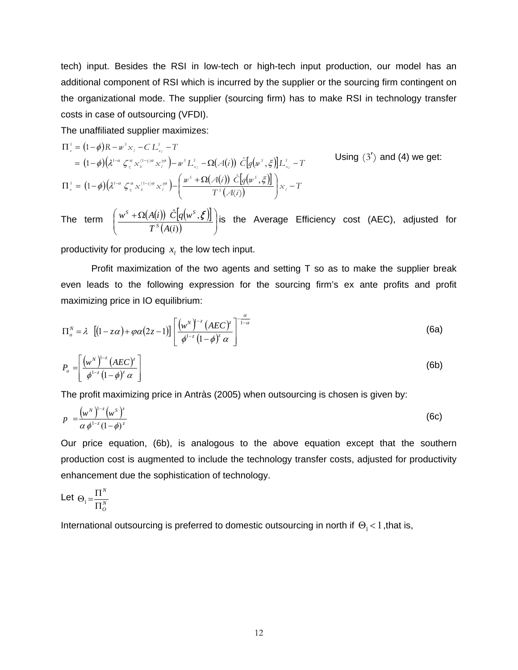tech) input. Besides the RSI in low-tech or high-tech input production, our model has an additional component of RSI which is incurred by the supplier or the sourcing firm contingent on the organizational mode. The supplier (sourcing firm) has to make RSI in technology transfer costs in case of outsourcing (VFDI).

The unaffiliated supplier maximizes:

$$
\Pi_{s}^{s} = (1 - \phi)R - w^{s} x_{t} - CL_{x}^{s} - T
$$
\n
$$
= (1 - \phi)(\lambda^{1 - \alpha} \zeta_{\xi}^{\alpha} x_{b}^{(1 - \alpha)} x_{t}^{\alpha}) - w^{s} L_{x_{t}}^{s} - \Omega(\mathcal{A}(i)) \hat{C}[q(w^{s}, \xi)]L_{x_{t}}^{s} - T
$$
\nUsing (3') and (4) we get:\n
$$
\Pi_{s}^{s} = (1 - \phi)(\lambda^{1 - \alpha} \zeta_{\xi}^{\alpha} x_{b}^{(1 - \xi)\alpha} x_{t}^{\alpha}) - \left(\frac{w^{s} + \Omega(\mathcal{A}(i)) \hat{C}[q(w^{s}, \xi)]}{T^{s}(\mathcal{A}(i))}\right)x_{t} - T
$$

The term  $\left( \frac{w^S + \Omega(A(i)) \ C[q(w^S,\boldsymbol{\xi})]}{w} \right)$  $\frac{g(u, s)}{g(u)}$ ⎠ ⎞  $\parallel$ ⎝  $\int w^S + \Omega$  $(i)$  $\hat{\mathbb{C}}[\overline{q}(\overline{w}^s,$  $T^s(A(i$  $w^S + \Omega(A(i)) C|q(w)$  $\frac{S + \Omega(A(i)) C[q(w^s, \mathcal{E})]}{T^{S}(A(i))}$  is the Average Efficiency cost (AEC), adjusted for

productivity for producing  $x_i$  the low tech input.

Profit maximization of the two agents and setting T so as to make the supplier break even leads to the following expression for the sourcing firm's ex ante profits and profit maximizing price in IO equilibrium:

$$
\Pi_o^N = \lambda \left[ (1 - z\alpha) + \varphi \alpha (2z - 1) \right] \left[ \frac{\left( w^N \right)^{1-z} (AEC)^z}{\phi^{1-z} (1 - \phi)^z \alpha} \right]^{-\frac{\alpha}{1 - \alpha}} \tag{6a}
$$

$$
P_o = \left[ \frac{\left( w^N \right)^{1-z} \left( AEC \right)^z}{\phi^{1-z} \left( 1 - \phi \right)^z \alpha} \right] \tag{6b}
$$

The profit maximizing price in Antràs (2005) when outsourcing is chosen is given by:

$$
p = \frac{\left(w^N\right)^{1-z}\left(w^S\right)^z}{\alpha \phi^{1-z}\left(1-\phi\right)^z} \tag{6c}
$$

Our price equation, (6b), is analogous to the above equation except that the southern production cost is augmented to include the technology transfer costs, adjusted for productivity enhancement due the sophistication of technology.

Let 
$$
\Theta_1 = \frac{\Pi^N}{\Pi^N_o}
$$

International outsourcing is preferred to domestic outsourcing in north if  $\Theta_1 < 1$ , that is,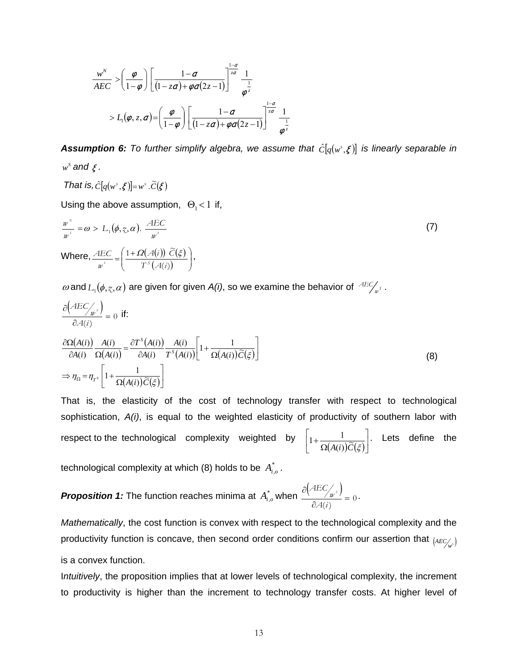$$
\frac{w^N}{AEC} > \left(\frac{\varphi}{1-\varphi}\right) \left[\frac{1-\alpha}{(1-z\alpha)+\varphi\alpha(2z-1)}\right]^{\frac{1-\alpha}{z\alpha}} \frac{1}{\varphi^{\frac{1}{z}}}
$$
\n
$$
> L_1(\varphi, z, \alpha) = \left(\frac{\varphi}{1-\varphi}\right) \left[\frac{1-\alpha}{(1-z\alpha)+\varphi\alpha(2z-1)}\right]^{\frac{1-\alpha}{z\alpha}} \frac{1}{\varphi^{\frac{1}{z}}}
$$

**Assumption 6:** To further simplify algebra, we assume that  $\hat{C}[q(w^s, \xi)]$  is linearly separable in  $w^s$  and  $\zeta$ .

That is, 
$$
\hat{C}[q(w^s, \xi)]=w^s \cdot \widetilde{C}(\xi)
$$

Using the above assumption,  $\Theta_1 < 1$  if,

$$
\frac{w^N}{w^s} = \omega > L_1(\phi, \zeta, \alpha). \frac{AEC}{w^s}
$$
\nWhere, 
$$
\frac{AEC}{w^s} = \left(\frac{1 + \Omega(A(i)) \tilde{C}(\xi)}{T^s(A(i))}\right),
$$

 $ω$  and  $L_1(φ, γ, α)$  are given for given *A(i)*, so we examine the behavior of  $\frac{ABC}{w}$ .

$$
\frac{\partial (AEC/_{w^s})}{\partial A(i)} = 0 \text{ if:}
$$
\n
$$
\frac{\partial \Omega(A(i))}{\partial A(i)} \frac{A(i)}{\Omega(A(i))} = \frac{\partial T^s(A(i))}{\partial A(i)} \frac{A(i)}{T^s(A(i))} \left[1 + \frac{1}{\Omega(A(i))\widetilde{C}(\xi)}\right]
$$
\n
$$
\Rightarrow \eta_{\Omega} = \eta_{T^s} \left[1 + \frac{1}{\Omega(A(i))\widetilde{C}(\xi)}\right]
$$
\n(8)

That is, the elasticity of the cost of technology transfer with respect to technological sophistication, *A(i)*, is equal to the weighted elasticity of productivity of southern labor with respect to the technological complexity weighted by  $\overline{(A(i))\widetilde{C}(\xi)}$ ⎦  $1+\frac{1}{\Omega(A(\cdot))\widetilde{\Omega}(\varepsilon)}$ ⎣  $\mathsf{L}$ Ω  $+\frac{1}{\Omega(A(i))\widetilde{C}(\xi)}$  $1 + \frac{1}{\sqrt{(\mathbf{u} - \mathbf{v})^2}(\mathbf{u})}$ . Lets define the

technological complexity at which (8) holds to be  $A_{i,o}^*$ .

*Proposition 1:* The function reaches minima at  $A_{i,o}^*$  when  $\frac{\partial (AEC_{/p^s})}{\partial A}$  $\frac{\partial u}{\partial \partial \phi}(i)} = 0$ ∂ *A i*  $\frac{AEC}{w^{s}} = 0.$ 

*Mathematically*, the cost function is convex with respect to the technological complexity and the productivity function is concave, then second order conditions confirm our assertion that  $_{(AEC_{\mu,\delta})}$ is a convex function.

I*ntuitively*, the proposition implies that at lower levels of technological complexity, the increment to productivity is higher than the increment to technology transfer costs. At higher level of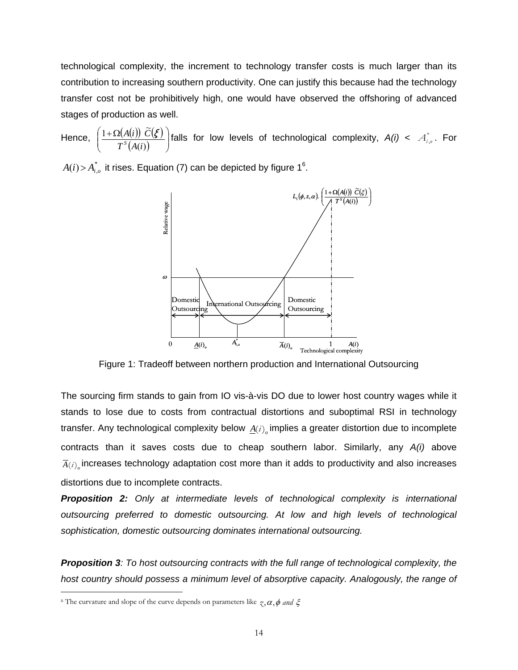technological complexity, the increment to technology transfer costs is much larger than its contribution to increasing southern productivity. One can justify this because had the technology transfer cost not be prohibitively high, one would have observed the offshoring of advanced stages of production as well.

Hence,  $\left( \frac{1+\Omega(A(i)) \ C(\mathcal{E})}{\Omega(A(i))} \right)$  $\frac{f(t) - f(s)}{f(A(i))}$ ⎠ ⎞  $\parallel$ ⎝  $\left(1+\Omega\right)$  $(i)$  $1 + \Omega(A(i)) \tilde{C}$  $T^s(A(i$ *A*(*i*)) *C*  $\frac{A(i))\ C(\mathcal{E})}{A(i\alpha)}$  falls for low levels of technological complexity,  $A(i) < A^*_{i,o}$ . For

 $A(i)$  >  $A_{i,o}^*$  it rises. Equation (7) can be depicted by figure 1<sup>[6](#page-15-0)</sup>.



Figure 1: Tradeoff between northern production and International Outsourcing

The sourcing firm stands to gain from IO vis-à-vis DO due to lower host country wages while it stands to lose due to costs from contractual distortions and suboptimal RSI in technology transfer. Any technological complexity below  $\underline{A}(i)$ <sub>o</sub> implies a greater distortion due to incomplete contracts than it saves costs due to cheap southern labor. Similarly, any *A(i)* above  $\overline{A}(i)$  increases technology adaptation cost more than it adds to productivity and also increases distortions due to incomplete contracts.

*Proposition 2: Only at intermediate levels of technological complexity is international outsourcing preferred to domestic outsourcing. At low and high levels of technological sophistication, domestic outsourcing dominates international outsourcing.* 

*Proposition 3: To host outsourcing contracts with the full range of technological complexity, the host country should possess a minimum level of absorptive capacity. Analogously, the range of* 

<span id="page-15-0"></span><sup>&</sup>lt;sup>6</sup> The curvature and slope of the curve depends on parameters like  $\gamma$ ,  $\alpha$ ,  $\phi$  *and*  $\xi$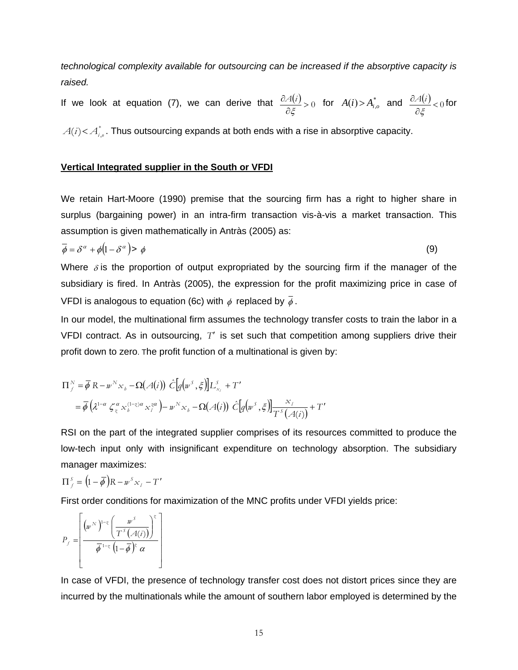*technological complexity available for outsourcing can be increased if the absorptive capacity is raised.* 

If we look at equation (7), we can derive that  $\frac{\partial A(i)}{\partial \xi} > 0$ ∂ ξ  $\frac{\partial A(i)}{\partial \xi} > 0$  for  $A(i) > A_{i,o}^*$  and  $\frac{\partial A(i)}{\partial \xi} < 0$ ∂ ξ  $\frac{A(i)}{A(i)}$ <sub>< 0</sub> for

 $A(i)$ < $A_{i,o}^*$ . Thus outsourcing expands at both ends with a rise in absorptive capacity.

# **Vertical Integrated supplier in the South or VFDI**

We retain Hart-Moore (1990) premise that the sourcing firm has a right to higher share in surplus (bargaining power) in an intra-firm transaction vis-à-vis a market transaction. This assumption is given mathematically in Antràs (2005) as:

$$
\overline{\phi} = \delta^{\alpha} + \phi \left( 1 - \delta^{\alpha} \right) > \phi \tag{9}
$$

Where  $\delta$  is the proportion of output expropriated by the sourcing firm if the manager of the subsidiary is fired. In Antràs (2005), the expression for the profit maximizing price in case of VFDI is analogous to equation (6c) with  $\phi$  replaced by  $\overline{\phi}$ .

In our model, the multinational firm assumes the technology transfer costs to train the labor in a VFDI contract. As in outsourcing, *T*′ is set such that competition among suppliers drive their profit down to zero. The profit function of a multinational is given by:

$$
\Pi_{f}^{N} = \overline{\phi} \, \mathcal{R} - w^{N} \, x_{b} - \Omega(\mathcal{A}(i)) \, \hat{C} \big[ q \big( w^{S}, \xi \big) \big] L_{x_{i}}^{S} + T'
$$
\n
$$
= \overline{\phi} \big( \lambda^{1-\alpha} \, \zeta_{\xi}^{\alpha} \, x_{b}^{(1-\xi)\alpha} \, x_{i}^{\alpha} \big) - w^{N} \, x_{b} - \Omega(\mathcal{A}(i)) \, \hat{C} \big[ q \big( w^{S}, \xi \big) \big] \frac{x_{i}}{T^{S}(\mathcal{A}(i))} + T'
$$

RSI on the part of the integrated supplier comprises of its resources committed to produce the low-tech input only with insignificant expenditure on technology absorption. The subsidiary manager maximizes:

$$
\Pi_f^s = (1 - \overline{\phi})R - w^s x_i - T'
$$

First order conditions for maximization of the MNC profits under VFDI yields price:

$$
P_f = \left[\frac{\left(w^{N}\right)^{1-\zeta}\left(\frac{w^{S}}{T^{S}\left(A(i)\right)}\right)^{\zeta}}{\overline{\phi}^{1-\zeta}\left(1-\overline{\phi}\right)^{\zeta}\alpha}\right]
$$

In case of VFDI, the presence of technology transfer cost does not distort prices since they are incurred by the multinationals while the amount of southern labor employed is determined by the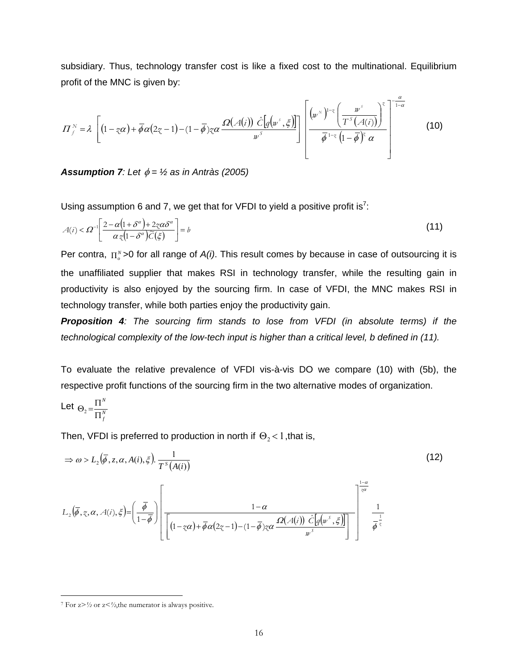subsidiary. Thus, technology transfer cost is like a fixed cost to the multinational. Equilibrium profit of the MNC is given by:

α

$$
\Pi_{\scriptscriptstyle{f}}^{\scriptscriptstyle{N}} = \lambda \left[ \left( 1 - z \alpha \right) + \overline{\phi} \alpha \left( 2 z - 1 \right) - \left( 1 - \overline{\phi} \right) z \alpha \frac{\Omega \left( A(i) \right) \hat{C} \left[ g \left( w^{\scriptscriptstyle{S}}, \xi \right) \right]}{w^{\scriptscriptstyle{S}}} \right] \left[ \frac{\left( w^{\scriptscriptstyle{N}} \right)^{1-z} \left( \frac{w^{\scriptscriptstyle{S}}}{T^{\scriptscriptstyle{S}} \left( A(i) \right)} \right)^{z}}{\overline{\phi}^{\scriptscriptstyle{1-z}} \left( 1 - \overline{\phi} \right)^{z} \alpha} \right]^{-\frac{1}{1-\alpha}} \tag{10}
$$

**Assumption 7**: Let  $\phi = \frac{1}{2}$  as in Antràs (2005)

Using assumption 6 and [7](#page-17-0), we get that for VFDI to yield a positive profit is<sup>7</sup>:

$$
A(i) < \Omega^{-1} \left[ \frac{2 - \alpha \left( 1 + \delta^{\alpha} \right) + 2z \alpha \delta^{\alpha}}{\alpha z \left( 1 - \delta^{\alpha} \right) \widetilde{C}(\xi)} \right] = b \tag{11}
$$

Per contra,  $\prod_{o}^{N}$  >0 for all range of *A(i)*. This result comes by because in case of outsourcing it is the unaffiliated supplier that makes RSI in technology transfer, while the resulting gain in productivity is also enjoyed by the sourcing firm. In case of VFDI, the MNC makes RSI in technology transfer, while both parties enjoy the productivity gain.

*Proposition 4: The sourcing firm stands to lose from VFDI (in absolute terms) if the technological complexity of the low-tech input is higher than a critical level, b defined in (11).* 

To evaluate the relative prevalence of VFDI vis-à-vis DO we compare (10) with (5b), the respective profit functions of the sourcing firm in the two alternative modes of organization.

Let 
$$
\Theta_2 = \frac{\Pi^N}{\Pi_f^N}
$$

 $\overline{a}$ 

Then, VFDI is preferred to production in north if  $\Theta_2 < 1$ , that is,

$$
\Rightarrow \omega > L_2(\overline{\phi}, z, \alpha, A(i), \xi) = \frac{1}{T^s(A(i))}
$$
\n
$$
L_2(\overline{\phi}, z, \alpha, A(i), \xi) = \left(\frac{\overline{\phi}}{1 - \overline{\phi}}\right) \left[ \frac{1 - \alpha}{\left[1 - z\alpha\right) + \overline{\phi}\alpha(2z - 1) - (1 - \overline{\phi})z\alpha} \frac{Q(A(i)) \ \hat{C}[q(w^s, \xi)]}{w^s} \right]^{-\frac{1 - \alpha}{\overline{\phi}^{\frac{1}{z}}}}
$$
\n(12)

<span id="page-17-0"></span><sup>7</sup> For z>*½* or z<*½*,the numerator is always positive.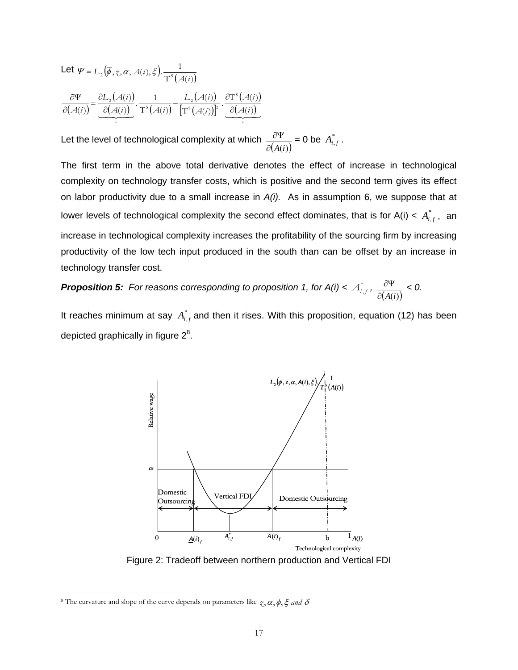Let 
$$
\Psi = L_2(\overline{\phi}, \overline{\chi}, \alpha, A(i), \xi)
$$
.  
\n
$$
\frac{\partial \Psi}{\partial (A(i))} = \underbrace{\frac{\partial L_2(A(i))}{\partial (A(i))}}_{+} \cdot \frac{1}{T^s(A(i))} - \frac{L_2(A(i))}{[T^s(A(i))]^2} \cdot \underbrace{\frac{\partial T^s(A(i))}{\partial (A(i))}}_{+}
$$

Let the level of technological complexity at which  $\frac{\partial \Psi}{\partial (A(i))}$  = 0 be  $A_{i,f}^*$ .

The first term in the above total derivative denotes the effect of increase in technological complexity on technology transfer costs, which is positive and the second term gives its effect on labor productivity due to a small increase in *A(i).* As in assumption 6, we suppose that at lower levels of technological complexity the second effect dominates, that is for A(i) <  $A_{i,f}^*$ , an increase in technological complexity increases the profitability of the sourcing firm by increasing productivity of the low tech input produced in the south than can be offset by an increase in technology transfer cost.

*Proposition 5: For reasons corresponding to proposition 1, for*  $A(i) < A_{i,j}^*$ *,*  $\frac{\partial \Psi}{\partial (A(i))} < 0$ *.* 

It reaches minimum at say  $A_{i,f}^*$  and then it rises. With this proposition, equation (12) has been depicted graphically in figure  $2^8$  $2^8$ .



<span id="page-18-0"></span><sup>&</sup>lt;sup>8</sup> The curvature and slope of the curve depends on parameters like  $\zeta$ ,  $\alpha$ ,  $\phi$ ,  $\xi$  *and*  $\delta$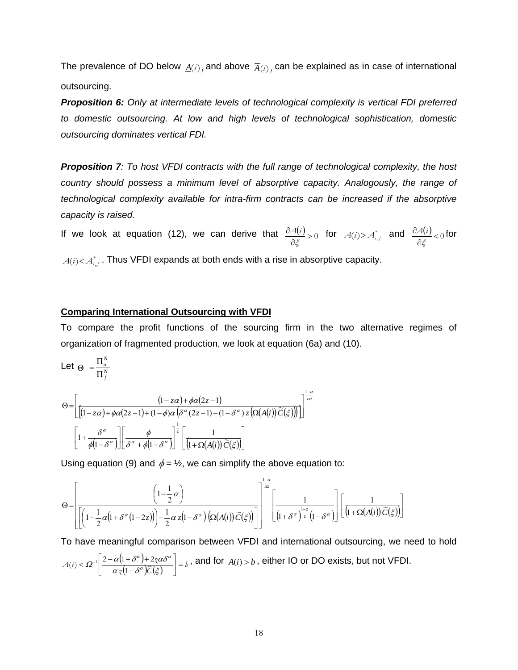The prevalence of DO below  $\underline{A}(i)$  and above  $\overline{A}(i)$  can be explained as in case of international outsourcing.

*Proposition 6: Only at intermediate levels of technological complexity is vertical FDI preferred to domestic outsourcing. At low and high levels of technological sophistication, domestic outsourcing dominates vertical FDI.* 

*Proposition 7: To host VFDI contracts with the full range of technological complexity, the host country should possess a minimum level of absorptive capacity. Analogously, the range of technological complexity available for intra-firm contracts can be increased if the absorptive capacity is raised.* 

If we look at equation (12), we can derive that  $\frac{\partial \mathcal{A}(i)}{\partial \xi} > 0$ ∂ ξ  $\frac{A(i)}{\partial \xi} > 0$  for  $A(i) > A_{i,j}^*$  and  $\frac{\partial A(i)}{\partial \xi} < 0$ ∂ ξ  $\frac{A(i)}{A(i)}<0$  for  $A(i) < A^*_{i,f}$ . Thus VFDI expands at both ends with a rise in absorptive capacity.

# **Comparing International Outsourcing with VFDI**

To compare the profit functions of the sourcing firm in the two alternative regimes of organization of fragmented production, we look at equation (6a) and (10).

Let 
$$
\Theta = \frac{\Pi_{o}^{N}}{\Pi_{f}^{N}}
$$

$$
\Theta = \left[ \frac{\left(1 - z\alpha\right) + \phi\alpha(2z - 1)}{\left[\left(1 - z\alpha\right) + \phi\alpha(2z - 1) + \left(1 - \phi\right)\alpha\left(\delta^{\alpha}\left(2z - 1\right) - \left(1 - \delta^{\alpha}\right)z\left(\Omega(A(i))\widetilde{C}(\xi)\right)\right)\right]}\right]^{\frac{1 - \alpha}{z\alpha}}
$$
\n
$$
\left[1 + \frac{\delta^{\alpha}}{\phi\left(1 - \delta^{\alpha}\right)}\right] \left[\frac{\phi}{\delta^{\alpha} + \phi\left(1 - \delta^{\alpha}\right)}\right]^{\frac{1}{z}} \left[\frac{1}{\left(1 + \Omega(A(i))\widetilde{C}(\xi)\right)}\right]
$$

Using equation (9) and  $\phi = \frac{1}{2}$ , we can simplify the above equation to:

$$
\Theta = \left[ \frac{\left(1 - \frac{1}{2}\alpha\right)}{\left[\left(1 - \frac{1}{2}\alpha\left(1 + \delta^{\alpha}\left(1 - 2z\right)\right)\right) - \frac{1}{2}\alpha z\left(1 - \delta^{\alpha}\right)\left(\Omega(A(i))\widetilde{C}(\xi)\right)\right]}\right]^{\frac{1 - \alpha}{\alpha}} \left[\frac{1}{\left(1 + \delta^{\alpha}\right)^{\frac{1 - z}{z}}\left(1 - \delta^{\alpha}\right)}\right] \left[\frac{1}{\left(1 + \Omega(A(i))\widetilde{C}(\xi)\right)}\right]
$$

To have meaningful comparison between VFDI and international outsourcing, we need to hold  $A(i) < \Omega^{-1} \left[ \frac{2 - \alpha (1 + \delta^{\alpha}) + 2\zeta \alpha \delta^{\alpha}}{\alpha \zeta (1 - \delta^{\alpha}) \widetilde{C}(\xi)} \right] = b$ −  $<\varOmega^{-1}\left|\frac{2-\alpha\big(1+\delta^\alpha\big)+2\chi c}{\alpha\,\chi\big(1-\delta^\alpha\big)\widetilde{C}(\xi)}\right|$  $\Omega^{-1} \left| \frac{2 - \alpha (1 + \delta^{\alpha}) + 2 \zeta \alpha \delta}{\alpha (1 - \zeta \alpha) \widetilde{\zeta}(r)} \right|$  $\alpha$   $\alpha$   $\alpha$  $\overrightarrow{1-\delta^{\alpha}}\overrightarrow{C}$  $\mathcal{L}(i) < \Omega^{-1} \left| \frac{2 - \alpha (1 + \delta^{\alpha}) + 2\zeta \alpha \delta^{\alpha}}{L - \zeta \alpha \right| \leq \epsilon} \right| = b$ , and for  $A(i) > b$ , either IO or DO exists, but not VFDI.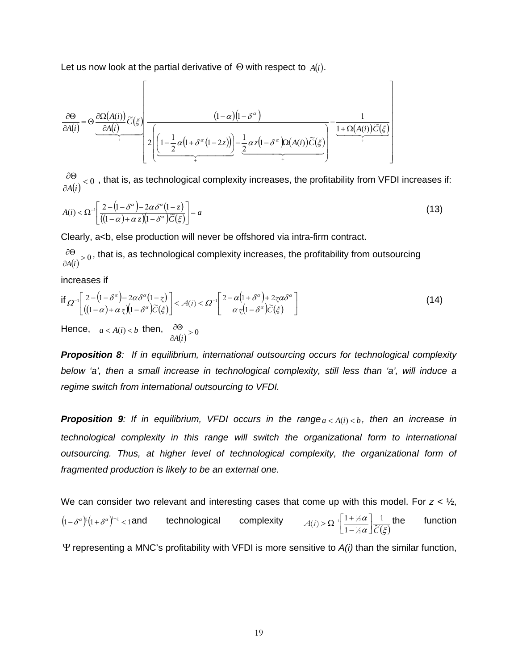Let us now look at the partial derivative of Θ with respect to *A*(*i*).

$$
\frac{\partial \Theta}{\partial A(i)} = \Theta \underbrace{\frac{\partial \Omega(A(i))}{\partial A(i)} \widetilde{C}(\xi)}_{+} \underbrace{\frac{(1-\alpha)(1-\delta^{\alpha})}{2\left[\left(1-\frac{1}{2}\alpha(1+\delta^{\alpha}(1-2z))\right)-\frac{1}{2}\alpha z(1-\delta^{\alpha})\Omega(A(i))\widetilde{C}(\xi)}_{+}}_{+} - \underbrace{\frac{1}{1+\Omega(A(i))\widetilde{C}(\xi)}_{+}}_{+}
$$

 $\frac{\partial G}{\partial A(i)} < 0$ ∂Θ *A i* , that is, as technological complexity increases, the profitability from VFDI increases if:

$$
A(i) < \Omega^{-1} \left[ \frac{2 - (1 - \delta^{\alpha}) - 2\alpha \delta^{\alpha} (1 - z)}{((1 - \alpha) + \alpha z)(1 - \delta^{\alpha}) \widetilde{C}(\xi)} \right] = a \tag{13}
$$

Clearly, a<b, else production will never be offshored via intra-firm contract.

 $\frac{\partial G}{\partial A(i)} > 0$ ∂Θ *A i* , that is, as technological complexity increases, the profitability from outsourcing

increases if

$$
\text{if } \Omega^{-1} \left[ \frac{2 - (1 - \delta^{\alpha}) - 2\alpha \delta^{\alpha} (1 - z)}{((1 - \alpha) + \alpha z)(1 - \delta^{\alpha}) \widetilde{C}(\xi)} \right] < A(i) < \Omega^{-1} \left[ \frac{2 - \alpha (1 + \delta^{\alpha}) + 2z \alpha \delta^{\alpha}}{\alpha z (1 - \delta^{\alpha}) \widetilde{C}(\xi)} \right] \tag{14}
$$

Hence,  $a < A(i) < b$  then,  $\frac{\partial \Theta}{\partial A(i)} > 0$ ∂Θ *A i*

*Proposition 8: If in equilibrium, international outsourcing occurs for technological complexity below 'a', then a small increase in technological complexity, still less than 'a', will induce a regime switch from international outsourcing to VFDI.* 

**Proposition 9**: If in equilibrium, VFDI occurs in the range $a < A(i) < b$ , then an increase in *technological complexity in this range will switch the organizational form to international outsourcing. Thus, at higher level of technological complexity, the organizational form of fragmented production is likely to be an external one.* 

We can consider two relevant and interesting cases that come up with this model. For *z* < ½,  $(1 - \delta^{\alpha})^{\kappa} (1 + \delta^{\alpha})^{1-\kappa} < 1$  and technological complexity  $\alpha \mid \widetilde{C}(\xi)$ α  $A(i) > \Omega^{-1} \left[ \frac{1 + \frac{1}{2} \alpha}{1 - \frac{1}{2} \alpha} \right] \frac{1}{\widetilde{C}(\alpha)}$  $(i) > \Omega^{-1} \left[ \frac{1 + \frac{1}{2}}{1 - \frac{1}{2}} \right]$  $_1$  1 +  $\frac{1}{2}$  $\left\lfloor \frac{1 + \frac{1}{2} \alpha}{1 - \frac{1}{2} \alpha} \right\rfloor$  $\mathsf{L}$ −  $\Rightarrow \Omega^{-1} \left[ \frac{1 + \frac{1}{2} \alpha}{\alpha} \right] \frac{1}{\alpha}$  the function

Ψ representing a MNC's profitability with VFDI is more sensitive to *A(i)* than the similar function,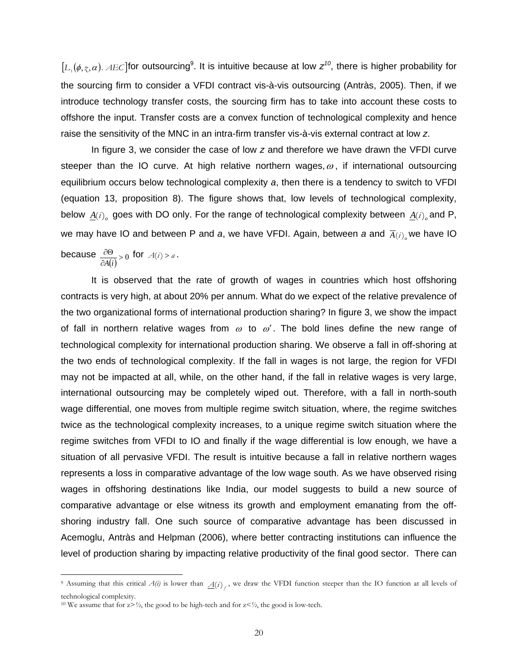$[L_1(\phi, z, \alpha)$ . AEC] for outsourcing<sup>[9](#page-21-0)</sup>. It is intuitive because at low  $z^{10}$  $z^{10}$  $z^{10}$ , there is higher probability for the sourcing firm to consider a VFDI contract vis-à-vis outsourcing (Antràs, 2005). Then, if we introduce technology transfer costs, the sourcing firm has to take into account these costs to offshore the input. Transfer costs are a convex function of technological complexity and hence raise the sensitivity of the MNC in an intra-firm transfer vis-à-vis external contract at low *z*.

In figure 3, we consider the case of low *z* and therefore we have drawn the VFDI curve steeper than the IO curve. At high relative northern wages,  $\omega$ , if international outsourcing equilibrium occurs below technological complexity *a*, then there is a tendency to switch to VFDI (equation 13, proposition 8). The figure shows that, low levels of technological complexity, below  $\underline{A}(i)$  goes with DO only. For the range of technological complexity between  $\underline{A}(i)$  and P, we may have IO and between P and *a*, we have VFDI. Again, between *a* and  $\overline{A}(i)$  we have IO

because  $\frac{\partial \Theta}{\partial A(i)}>0$ ∂Θ *A i* for  $A(i) > a$ .

 $\overline{a}$ 

It is observed that the rate of growth of wages in countries which host offshoring contracts is very high, at about 20% per annum. What do we expect of the relative prevalence of the two organizational forms of international production sharing? In figure 3, we show the impact of fall in northern relative wages from  $\omega$  to  $\omega'$ . The bold lines define the new range of technological complexity for international production sharing. We observe a fall in off-shoring at the two ends of technological complexity. If the fall in wages is not large, the region for VFDI may not be impacted at all, while, on the other hand, if the fall in relative wages is very large, international outsourcing may be completely wiped out. Therefore, with a fall in north-south wage differential, one moves from multiple regime switch situation, where, the regime switches twice as the technological complexity increases, to a unique regime switch situation where the regime switches from VFDI to IO and finally if the wage differential is low enough, we have a situation of all pervasive VFDI. The result is intuitive because a fall in relative northern wages represents a loss in comparative advantage of the low wage south. As we have observed rising wages in offshoring destinations like India, our model suggests to build a new source of comparative advantage or else witness its growth and employment emanating from the offshoring industry fall. One such source of comparative advantage has been discussed in Acemoglu, Antràs and Helpman (2006), where better contracting institutions can influence the level of production sharing by impacting relative productivity of the final good sector. There can

<span id="page-21-0"></span><sup>&</sup>lt;sup>9</sup> Assuming that this critical  $A(i)$  is lower than  $A(i)$ , we draw the VFDI function steeper than the IO function at all levels of technological complexity.<br><sup>10</sup> We assume that for  $z > \frac{1}{2}$ , the good to be high-tech and for  $z < \frac{1}{2}$ , the good is low-tech.

<span id="page-21-1"></span>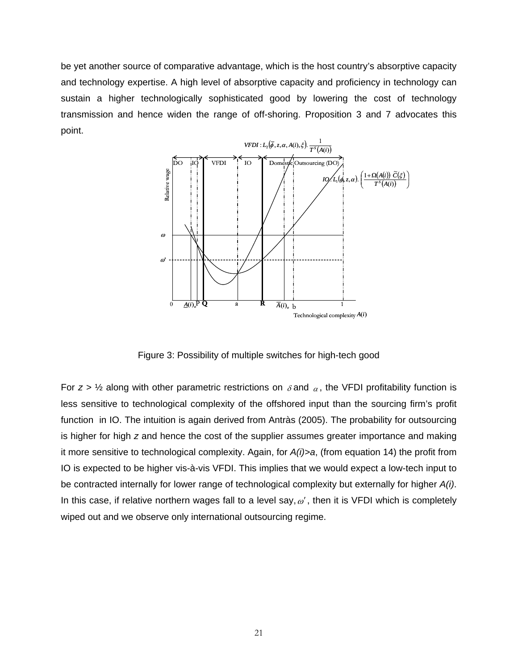be yet another source of comparative advantage, which is the host country's absorptive capacity and technology expertise. A high level of absorptive capacity and proficiency in technology can sustain a higher technologically sophisticated good by lowering the cost of technology transmission and hence widen the range of off-shoring. Proposition 3 and 7 advocates this point.



Figure 3: Possibility of multiple switches for high-tech good

For  $z > \frac{1}{2}$  along with other parametric restrictions on  $\delta$  and  $\alpha$ , the VFDI profitability function is less sensitive to technological complexity of the offshored input than the sourcing firm's profit function in IO. The intuition is again derived from Antràs (2005). The probability for outsourcing is higher for high *z* and hence the cost of the supplier assumes greater importance and making it more sensitive to technological complexity. Again, for *A(i)>a*, (from equation 14) the profit from IO is expected to be higher vis-à-vis VFDI. This implies that we would expect a low-tech input to be contracted internally for lower range of technological complexity but externally for higher *A(i)*. In this case, if relative northern wages fall to a level say,  $\omega'$ , then it is VFDI which is completely wiped out and we observe only international outsourcing regime.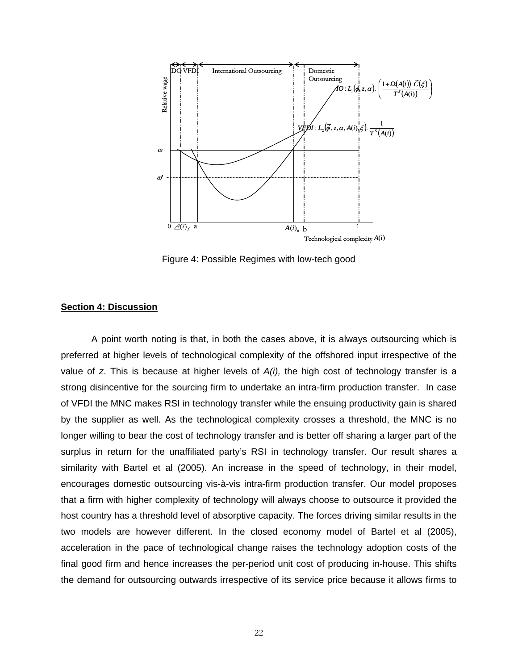![](_page_23_Figure_0.jpeg)

Figure 4: Possible Regimes with low-tech good

### **Section 4: Discussion**

A point worth noting is that, in both the cases above, it is always outsourcing which is preferred at higher levels of technological complexity of the offshored input irrespective of the value of *z*. This is because at higher levels of *A(i),* the high cost of technology transfer is a strong disincentive for the sourcing firm to undertake an intra-firm production transfer. In case of VFDI the MNC makes RSI in technology transfer while the ensuing productivity gain is shared by the supplier as well. As the technological complexity crosses a threshold, the MNC is no longer willing to bear the cost of technology transfer and is better off sharing a larger part of the surplus in return for the unaffiliated party's RSI in technology transfer. Our result shares a similarity with Bartel et al (2005). An increase in the speed of technology, in their model, encourages domestic outsourcing vis-à-vis intra-firm production transfer. Our model proposes that a firm with higher complexity of technology will always choose to outsource it provided the host country has a threshold level of absorptive capacity. The forces driving similar results in the two models are however different. In the closed economy model of Bartel et al (2005), acceleration in the pace of technological change raises the technology adoption costs of the final good firm and hence increases the per-period unit cost of producing in-house. This shifts the demand for outsourcing outwards irrespective of its service price because it allows firms to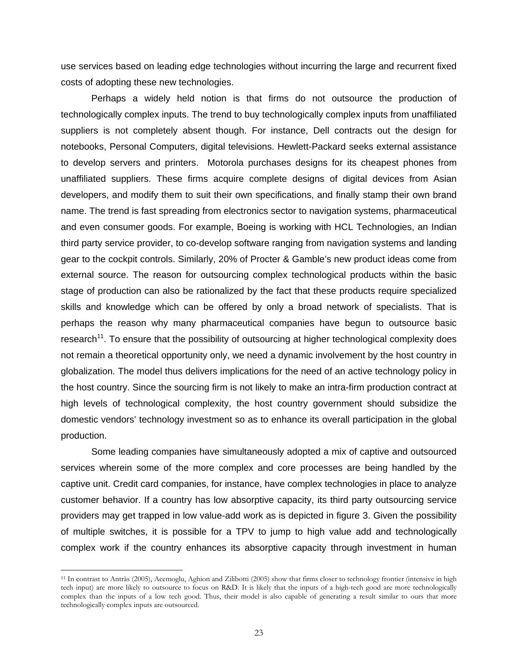use services based on leading edge technologies without incurring the large and recurrent fixed costs of adopting these new technologies.

Perhaps a widely held notion is that firms do not outsource the production of technologically complex inputs. The trend to buy technologically complex inputs from unaffiliated suppliers is not completely absent though. For instance, Dell contracts out the design for notebooks, Personal Computers, digital televisions. Hewlett-Packard seeks external assistance to develop servers and printers. Motorola purchases designs for its cheapest phones from unaffiliated suppliers. These firms acquire complete designs of digital devices from Asian developers, and modify them to suit their own specifications, and finally stamp their own brand name. The trend is fast spreading from electronics sector to navigation systems, pharmaceutical and even consumer goods. For example, Boeing is working with HCL Technologies, an Indian third party service provider, to co-develop software ranging from navigation systems and landing gear to the cockpit controls. Similarly, 20% of Procter & Gamble's new product ideas come from external source. The reason for outsourcing complex technological products within the basic stage of production can also be rationalized by the fact that these products require specialized skills and knowledge which can be offered by only a broad network of specialists. That is perhaps the reason why many pharmaceutical companies have begun to outsource basic research<sup>11</sup>. To ensure that the possibility of outsourcing at higher technological complexity does not remain a theoretical opportunity only, we need a dynamic involvement by the host country in globalization. The model thus delivers implications for the need of an active technology policy in the host country. Since the sourcing firm is not likely to make an intra-firm production contract at high levels of technological complexity, the host country government should subsidize the domestic vendors' technology investment so as to enhance its overall participation in the global production.

Some leading companies have simultaneously adopted a mix of captive and outsourced services wherein some of the more complex and core processes are being handled by the captive unit. Credit card companies, for instance, have complex technologies in place to analyze customer behavior. If a country has low absorptive capacity, its third party outsourcing service providers may get trapped in low value-add work as is depicted in figure 3. Given the possibility of multiple switches, it is possible for a TPV to jump to high value add and technologically complex work if the country enhances its absorptive capacity through investment in human

<span id="page-24-0"></span><sup>11</sup> In contrast to Antràs (2005), Acemoglu, Aghion and Zilibotti (2005) show that firms closer to technology frontier (intensive in high tech input) are more likely to outsource to focus on R&D. It is likely that the inputs of a high-tech good are more technologically complex than the inputs of a low tech good. Thus, their model is also capable of generating a result similar to ours that more technologically complex inputs are outsourced.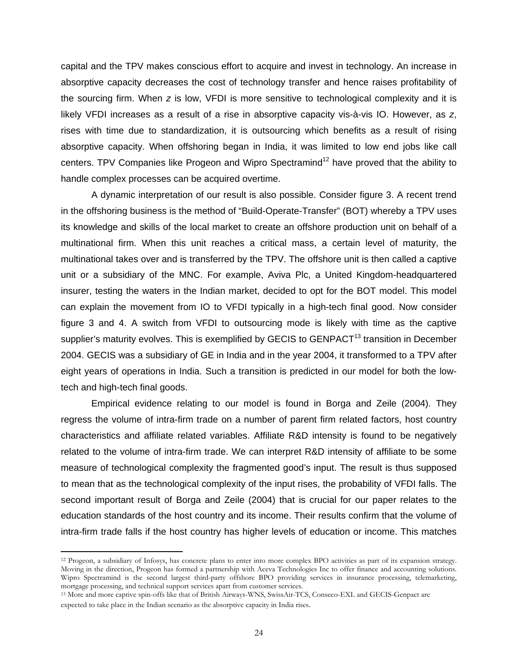capital and the TPV makes conscious effort to acquire and invest in technology. An increase in absorptive capacity decreases the cost of technology transfer and hence raises profitability of the sourcing firm. When *z* is low, VFDI is more sensitive to technological complexity and it is likely VFDI increases as a result of a rise in absorptive capacity vis-à-vis IO. However, as *z*, rises with time due to standardization, it is outsourcing which benefits as a result of rising absorptive capacity. When offshoring began in India, it was limited to low end jobs like call centers. TPV Companies like Progeon and Wipro Spectramind<sup>12</sup> have proved that the ability to handle complex processes can be acquired overtime.

A dynamic interpretation of our result is also possible. Consider figure 3. A recent trend in the offshoring business is the method of "Build-Operate-Transfer" (BOT) whereby a TPV uses its knowledge and skills of the local market to create an offshore production unit on behalf of a multinational firm. When this unit reaches a critical mass, a certain level of maturity, the multinational takes over and is transferred by the TPV. The offshore unit is then called a captive unit or a subsidiary of the MNC. For example, Aviva Plc, a United Kingdom-headquartered insurer, testing the waters in the Indian market, decided to opt for the BOT model. This model can explain the movement from IO to VFDI typically in a high-tech final good. Now consider figure 3 and 4. A switch from VFDI to outsourcing mode is likely with time as the captive supplier's maturity evolves. This is exemplified by GECIS to GENPACT<sup>13</sup> transition in December 2004. GECIS was a subsidiary of GE in India and in the year 2004, it transformed to a TPV after eight years of operations in India. Such a transition is predicted in our model for both the lowtech and high-tech final goods.

Empirical evidence relating to our model is found in Borga and Zeile (2004). They regress the volume of intra-firm trade on a number of parent firm related factors, host country characteristics and affiliate related variables. Affiliate R&D intensity is found to be negatively related to the volume of intra-firm trade. We can interpret R&D intensity of affiliate to be some measure of technological complexity the fragmented good's input. The result is thus supposed to mean that as the technological complexity of the input rises, the probability of VFDI falls. The second important result of Borga and Zeile (2004) that is crucial for our paper relates to the education standards of the host country and its income. Their results confirm that the volume of intra-firm trade falls if the host country has higher levels of education or income. This matches

<span id="page-25-0"></span><sup>12</sup> Progeon, a subsidiary of Infosys, has concrete plans to enter into more complex BPO activities as part of its expansion strategy. Moving in the direction, Progeon has formed a partnership with Aceva Technologies Inc to offer finance and accounting solutions. Wipro Spectramind is the second largest third-party offshore BPO providing services in insurance processing, telemarketing, mortgage processing, and technical support services apart from customer services.

<span id="page-25-1"></span><sup>&</sup>lt;sup>13</sup> More and more captive spin-offs like that of British Airways-WNS, SwissAir-TCS, Conseco-EXL and GECIS-Genpact are expected to take place in the Indian scenario as the absorptive capacity in India rises.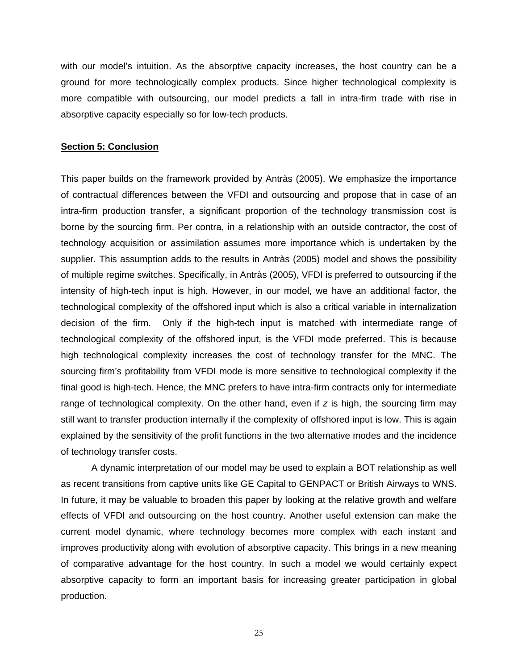with our model's intuition. As the absorptive capacity increases, the host country can be a ground for more technologically complex products. Since higher technological complexity is more compatible with outsourcing, our model predicts a fall in intra-firm trade with rise in absorptive capacity especially so for low-tech products.

#### **Section 5: Conclusion**

This paper builds on the framework provided by Antràs (2005). We emphasize the importance of contractual differences between the VFDI and outsourcing and propose that in case of an intra-firm production transfer, a significant proportion of the technology transmission cost is borne by the sourcing firm. Per contra, in a relationship with an outside contractor, the cost of technology acquisition or assimilation assumes more importance which is undertaken by the supplier. This assumption adds to the results in Antràs (2005) model and shows the possibility of multiple regime switches. Specifically, in Antràs (2005), VFDI is preferred to outsourcing if the intensity of high-tech input is high. However, in our model, we have an additional factor, the technological complexity of the offshored input which is also a critical variable in internalization decision of the firm. Only if the high-tech input is matched with intermediate range of technological complexity of the offshored input, is the VFDI mode preferred. This is because high technological complexity increases the cost of technology transfer for the MNC. The sourcing firm's profitability from VFDI mode is more sensitive to technological complexity if the final good is high-tech. Hence, the MNC prefers to have intra-firm contracts only for intermediate range of technological complexity. On the other hand, even if *z* is high, the sourcing firm may still want to transfer production internally if the complexity of offshored input is low. This is again explained by the sensitivity of the profit functions in the two alternative modes and the incidence of technology transfer costs.

A dynamic interpretation of our model may be used to explain a BOT relationship as well as recent transitions from captive units like GE Capital to GENPACT or British Airways to WNS. In future, it may be valuable to broaden this paper by looking at the relative growth and welfare effects of VFDI and outsourcing on the host country. Another useful extension can make the current model dynamic, where technology becomes more complex with each instant and improves productivity along with evolution of absorptive capacity. This brings in a new meaning of comparative advantage for the host country. In such a model we would certainly expect absorptive capacity to form an important basis for increasing greater participation in global production.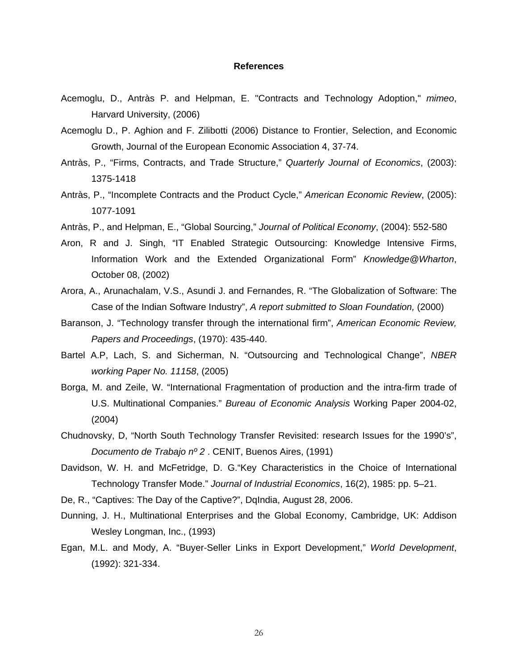#### **References**

- Acemoglu, D., Antràs P. and Helpman, E. "Contracts and Technology Adoption," *mimeo*, Harvard University, (2006)
- Acemoglu D., P. Aghion and F. Zilibotti (2006) Distance to Frontier, Selection, and Economic Growth, Journal of the European Economic Association 4, 37-74.
- Antràs, P., "Firms, Contracts, and Trade Structure," *Quarterly Journal of Economics*, (2003): 1375-1418
- Antràs, P., "Incomplete Contracts and the Product Cycle," *American Economic Review*, (2005): 1077-1091
- Antràs, P., and Helpman, E., "Global Sourcing," *Journal of Political Economy*, (2004): 552-580
- Aron, R and J. Singh, "IT Enabled Strategic Outsourcing: Knowledge Intensive Firms, Information Work and the Extended Organizational Form" *Knowledge@Wharton*, October 08, (2002)
- Arora, A., Arunachalam, V.S., Asundi J. and Fernandes, R. "The Globalization of Software: The Case of the Indian Software Industry", *A report submitted to Sloan Foundation,* (2000)
- Baranson, J. "Technology transfer through the international firm", *American Economic Review, Papers and Proceedings*, (1970): 435-440.
- [Bartel](http://papers.ssrn.com/sol3/cf_dev/AbsByAuth.cfm?per_id=433) A.P, [Lach, S. a](http://papers.ssrn.com/sol3/cf_dev/AbsByAuth.cfm?per_id=15805)nd [Sicherman,](http://papers.ssrn.com/sol3/cf_dev/AbsByAuth.cfm?per_id=432) N. "Outsourcing and Technological Change", *NBER working Paper No. 11158*, (2005)
- Borga, M. and Zeile, W. "International Fragmentation of production and the intra-firm trade of U.S. Multinational Companies." *Bureau of Economic Analysis* Working Paper 2004-02, (2004)
- Chudnovsky, D, "North South Technology Transfer Revisited: research Issues for the 1990's", *Documento de Trabajo nº 2* . CENIT, Buenos Aires, (1991)
- Davidson, W. H. and McFetridge, D. G."Key Characteristics in the Choice of International Technology Transfer Mode." *Journal of Industrial Economics*, 16(2), 1985: pp. 5–21.
- De, R., "Captives: The Day of the Captive?", DqIndia, August 28, 2006.
- Dunning, J. H., Multinational Enterprises and the Global Economy, Cambridge, UK: Addison Wesley Longman, Inc., (1993)
- Egan, M.L. and Mody, A. "Buyer-Seller Links in Export Development," *World Development*, (1992): 321-334.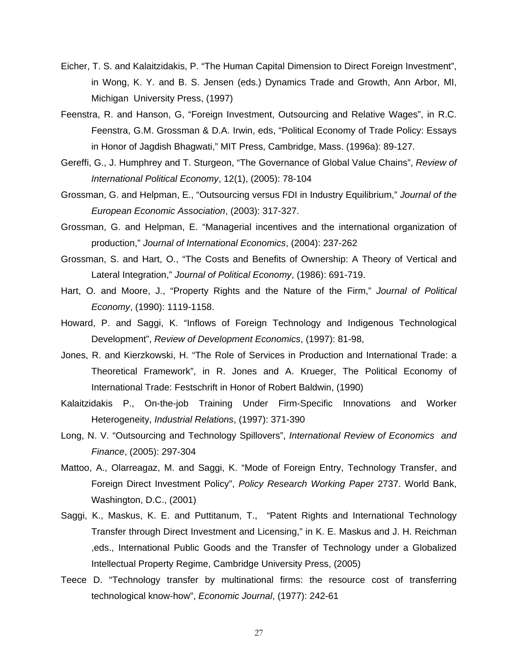- Eicher, T. S. and Kalaitzidakis, P. "The Human Capital Dimension to Direct Foreign Investment", in Wong, K. Y. and B. S. Jensen (eds.) Dynamics Trade and Growth, Ann Arbor, MI, Michigan University Press, (1997)
- Feenstra, R. and Hanson, G, "Foreign Investment, Outsourcing and Relative Wages", in R.C. Feenstra, G.M. Grossman & D.A. Irwin, eds, "Political Economy of Trade Policy: Essays in Honor of Jagdish Bhagwati," MIT Press, Cambridge, Mass. (1996a): 89-127.
- Gereffi, G., J. Humphrey and T. Sturgeon, "The Governance of Global Value Chains", *Review of International Political Economy*, 12(1), (2005): 78-104
- Grossman, G. and Helpman, E., "Outsourcing versus FDI in Industry Equilibrium," *[Journal of the](http://mitpress.mit.edu/catalog/item/default.asp?ttype=4&tid=60)  [European Economic Association](http://mitpress.mit.edu/catalog/item/default.asp?ttype=4&tid=60)*, (2003): 317-327.
- Grossman, G. and Helpman, E. "Managerial incentives and the international organization of production," *Journal of International Economics*, (2004): 237-262
- Grossman, S. and Hart, O., "The Costs and Benefits of Ownership: A Theory of Vertical and Lateral Integration," *Journal of Political Economy*, (1986): 691-719.
- Hart, O. and Moore, J., "Property Rights and the Nature of the Firm," *Journal of Political Economy*, (1990): 1119-1158.
- Howard, P. and Saggi, K. "Inflows of Foreign Technology and Indigenous Technological Development", *Review of Development Economics*, (1997): 81-98,
- Jones, R. and Kierzkowski, H. "The Role of Services in Production and International Trade: a Theoretical Framework", in R. Jones and A. Krueger, The Political Economy of International Trade: Festschrift in Honor of Robert Baldwin, (1990)
- Kalaitzidakis P., On-the-job Training Under Firm-Specific Innovations and Worker Heterogeneity, *Industrial Relations*, (1997): 371-390
- Long, N. V. "Outsourcing and Technology Spillovers", *International Review of Economics and Finance*, (2005): 297-304
- Mattoo, A., Olarreagaz, M. and Saggi, K. "Mode of Foreign Entry, Technology Transfer, and Foreign Direct Investment Policy", *Policy Research Working Paper* 2737. World Bank, Washington, D.C., (2001)
- Saggi, K., Maskus, K. E. and Puttitanum, T., "Patent Rights and International Technology Transfer through Direct Investment and Licensing," in K. E. Maskus and J. H. Reichman ,eds., International Public Goods and the Transfer of Technology under a Globalized Intellectual Property Regime, Cambridge University Press, (2005)
- Teece D. "Technology transfer by multinational firms: the resource cost of transferring technological know-how", *Economic Journal*, (1977): 242-61